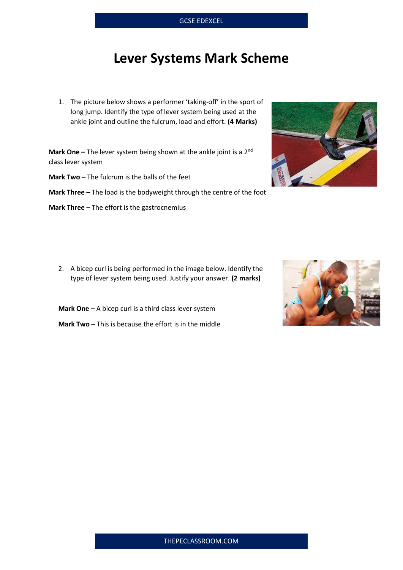## **Lever Systems Mark Scheme**

1. The picture below shows a performer 'taking-off' in the sport of long jump. Identify the type of lever system being used at the ankle joint and outline the fulcrum, load and effort. **(4 Marks)**

**Mark One** – The lever system being shown at the ankle joint is a 2<sup>nd</sup> class lever system

**Mark Two –** The fulcrum is the balls of the feet

**Mark Three -** The load is the bodyweight through the centre of the foot

**Mark Three –** The effort is the gastrocnemius

2. A bicep curl is being performed in the image below. Identify the type of lever system being used. Justify your answer. **(2 marks)**

**Mark One –** A bicep curl is a third class lever system

**Mark Two –** This is because the effort is in the middle